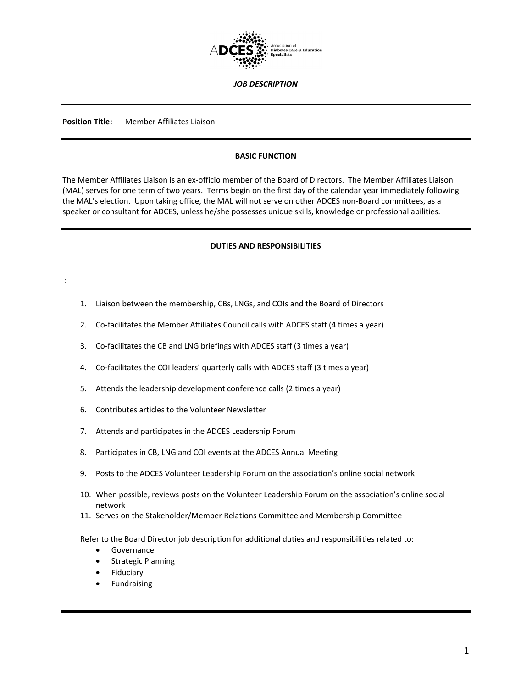

*JOB DESCRIPTION*

**Position Title:** Member Affiliates Liaison

:

### **BASIC FUNCTION**

The Member Affiliates Liaison is an ex-officio member of the Board of Directors. The Member Affiliates Liaison (MAL) serves for one term of two years. Terms begin on the first day of the calendar year immediately following the MAL's election. Upon taking office, the MAL will not serve on other ADCES non-Board committees, as a speaker or consultant for ADCES, unless he/she possesses unique skills, knowledge or professional abilities.

### **DUTIES AND RESPONSIBILITIES**

- 1. Liaison between the membership, CBs, LNGs, and COIs and the Board of Directors
- 2. Co-facilitates the Member Affiliates Council calls with ADCES staff (4 times a year)
- 3. Co-facilitates the CB and LNG briefings with ADCES staff (3 times a year)
- 4. Co-facilitates the COI leaders' quarterly calls with ADCES staff (3 times a year)
- 5. Attends the leadership development conference calls (2 times a year)
- 6. Contributes articles to the Volunteer Newsletter
- 7. Attends and participates in the ADCES Leadership Forum
- 8. Participates in CB, LNG and COI events at the ADCES Annual Meeting
- 9. Posts to the ADCES Volunteer Leadership Forum on the association's online social network
- 10. When possible, reviews posts on the Volunteer Leadership Forum on the association's online social network
- 11. Serves on the Stakeholder/Member Relations Committee and Membership Committee

Refer to the Board Director job description for additional duties and responsibilities related to:

- Governance
- Strategic Planning
- **Fiduciary**
- **Fundraising**